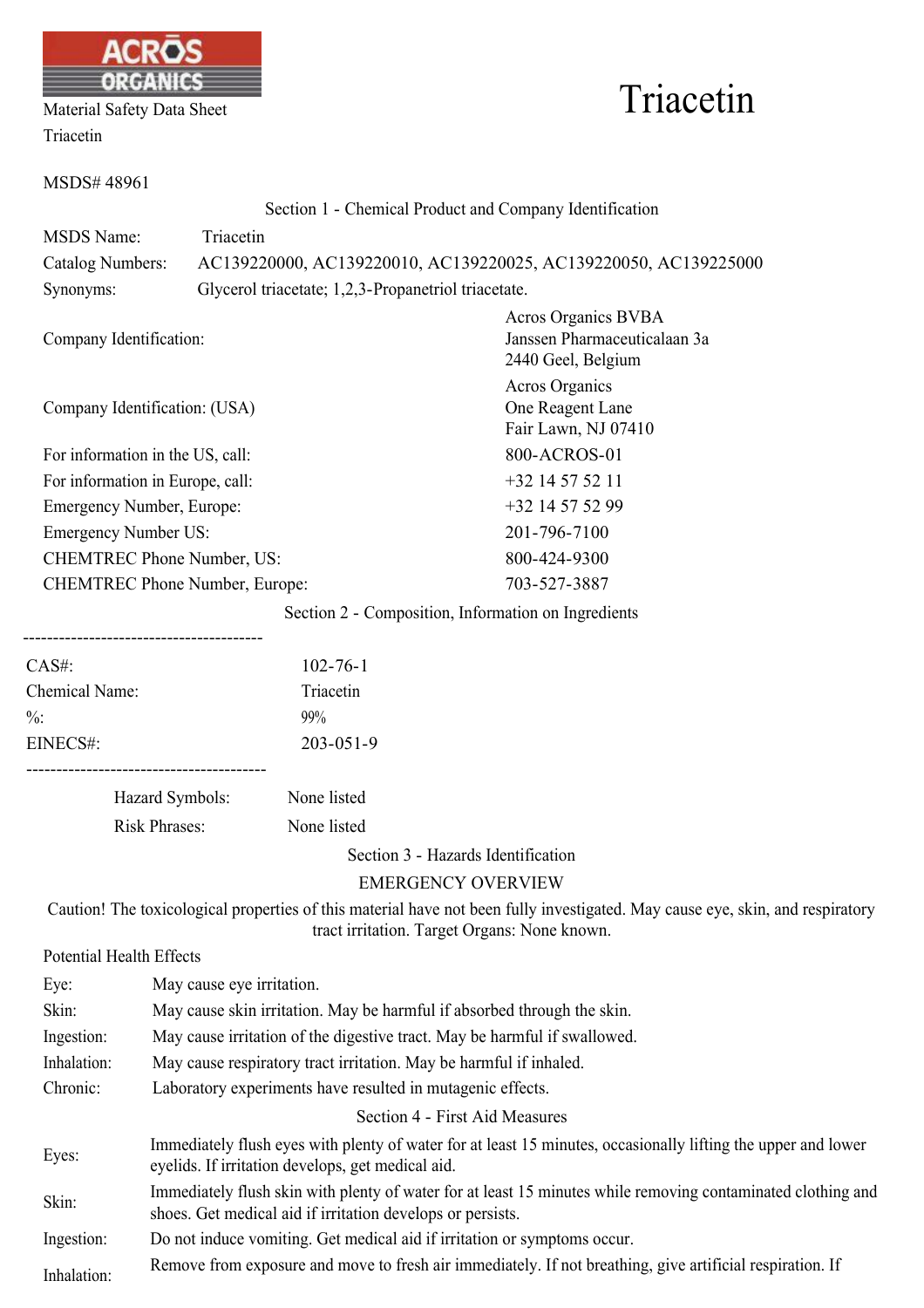

| Material Safety Data Sheet |  |
|----------------------------|--|
| Triacetin                  |  |

# Triacetin

| MSDS#48961                            |                                                     |                                                                                  |
|---------------------------------------|-----------------------------------------------------|----------------------------------------------------------------------------------|
|                                       |                                                     | Section 1 - Chemical Product and Company Identification                          |
| <b>MSDS</b> Name:                     | Triacetin                                           |                                                                                  |
| <b>Catalog Numbers:</b>               |                                                     | AC139220000, AC139220010, AC139220025, AC139220050, AC139225000                  |
| Synonyms:                             | Glycerol triacetate; 1,2,3-Propanetriol triacetate. |                                                                                  |
| Company Identification:               |                                                     | <b>Acros Organics BVBA</b><br>Janssen Pharmaceuticalaan 3a<br>2440 Geel, Belgium |
| Company Identification: (USA)         |                                                     | <b>Acros Organics</b><br>One Reagent Lane<br>Fair Lawn, NJ 07410<br>800-ACROS-01 |
| For information in the US, call:      |                                                     |                                                                                  |
| For information in Europe, call:      |                                                     | $+32$ 14 57 52 11                                                                |
| Emergency Number, Europe:             |                                                     | +32 14 57 52 99                                                                  |
| <b>Emergency Number US:</b>           |                                                     | 201-796-7100                                                                     |
| <b>CHEMTREC Phone Number, US:</b>     |                                                     | 800-424-9300                                                                     |
| <b>CHEMTREC Phone Number, Europe:</b> |                                                     | 703-527-3887                                                                     |
|                                       |                                                     | Section 2 - Composition, Information on Ingredients                              |
| CAS#                                  | $102 - 76 - 1$                                      |                                                                                  |
| Chemical Name <sup>.</sup>            | Triacetin                                           |                                                                                  |

| $\cup \Lambda$ . | $1UZ = IU = I$  |
|------------------|-----------------|
| Chemical Name:   | Triacetin       |
| $\frac{0}{0}$ .  | 99%             |
| EINECS#:         | $203 - 051 - 9$ |
|                  |                 |

Hazard Symbols: None listed Risk Phrases: None listed

Section 3 - Hazards Identification

EMERGENCY OVERVIEW

Caution! The toxicological properties of this material have not been fully investigated. May cause eye, skin, and respiratory tract irritation. Target Organs: None known.

Potential Health Effects

| Eye:        | May cause eye irritation.                                                                                                                                                  |  |  |
|-------------|----------------------------------------------------------------------------------------------------------------------------------------------------------------------------|--|--|
| Skin:       | May cause skin irritation. May be harmful if absorbed through the skin.                                                                                                    |  |  |
| Ingestion:  | May cause irritation of the digestive tract. May be harmful if swallowed.                                                                                                  |  |  |
| Inhalation: | May cause respiratory tract irritation. May be harmful if inhaled.                                                                                                         |  |  |
| Chronic:    | Laboratory experiments have resulted in mutagenic effects.                                                                                                                 |  |  |
|             | Section 4 - First Aid Measures                                                                                                                                             |  |  |
| Eyes:       | Immediately flush eyes with plenty of water for at least 15 minutes, occasionally lifting the upper and lower<br>eyelids. If irritation develops, get medical aid.         |  |  |
| Skin:       | Immediately flush skin with plenty of water for at least 15 minutes while removing contaminated clothing and<br>shoes. Get medical aid if irritation develops or persists. |  |  |
| Ingestion:  | Do not induce vomiting. Get medical aid if irritation or symptoms occur.                                                                                                   |  |  |
| Inhalation: | Remove from exposure and move to fresh air immediately. If not breathing, give artificial respiration. If                                                                  |  |  |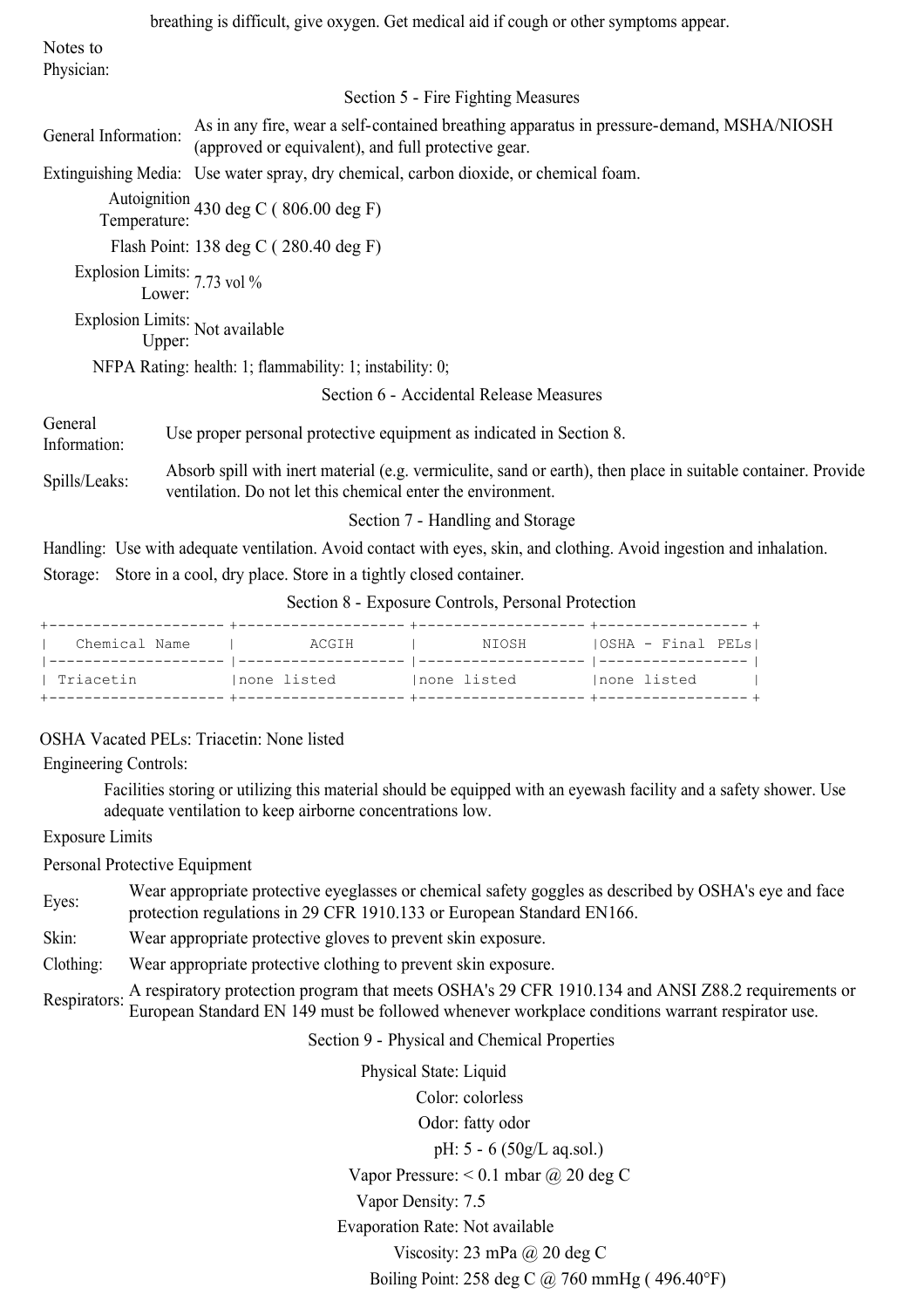|                                             | breathing is difficult, give oxygen. Get medical aid if cough or other symptoms appear.                                                                                       |
|---------------------------------------------|-------------------------------------------------------------------------------------------------------------------------------------------------------------------------------|
| Notes to                                    |                                                                                                                                                                               |
| Physician:                                  |                                                                                                                                                                               |
|                                             | Section 5 - Fire Fighting Measures                                                                                                                                            |
| General Information:                        | As in any fire, wear a self-contained breathing apparatus in pressure-demand, MSHA/NIOSH<br>(approved or equivalent), and full protective gear.                               |
|                                             | Extinguishing Media: Use water spray, dry chemical, carbon dioxide, or chemical foam.                                                                                         |
|                                             | Autoignition 430 deg C (806.00 deg F)<br>Temperature:                                                                                                                         |
|                                             | Flash Point: 138 deg C (280.40 deg F)                                                                                                                                         |
| Explosion Limits: 7.73 vol %<br>Lower: 7.73 |                                                                                                                                                                               |
| Explosion Limits: Not available<br>Upper:   |                                                                                                                                                                               |
|                                             | NFPA Rating: health: 1; flammability: 1; instability: 0;                                                                                                                      |
|                                             | Section 6 - Accidental Release Measures                                                                                                                                       |
| General<br>Information:                     | Use proper personal protective equipment as indicated in Section 8.                                                                                                           |
| Spills/Leaks:                               | Absorb spill with inert material (e.g. vermiculite, sand or earth), then place in suitable container. Provide<br>ventilation. Do not let this chemical enter the environment. |
|                                             | Section 7 - Handling and Storage                                                                                                                                              |
|                                             | Handling: Use with adequate ventilation. Avoid contact with eyes, skin, and clothing. Avoid ingestion and inhalation.                                                         |
| Storage:                                    | Store in a cool, dry place. Store in a tightly closed container.                                                                                                              |

Section 8 - Exposure Controls, Personal Protection

| Chemical Name | ACGIH        | NIOSH        | OSHA - Final PELs |
|---------------|--------------|--------------|-------------------|
| Triacetin     | Inone listed | Inone listed | Inone listed      |

### OSHA Vacated PELs: Triacetin: None listed

Engineering Controls:

Facilities storing or utilizing this material should be equipped with an eyewash facility and a safety shower. Use adequate ventilation to keep airborne concentrations low.

Exposure Limits

Personal Protective Equipment

Eyes:<br>
Wear appropriate protective eyeglasses or chemical safety goggles as described by OSHA's eye and face protection regulations in 29 CFR 1910.133 or European Standard EN166.

Skin: Wear appropriate protective gloves to prevent skin exposure.

Clothing: Wear appropriate protective clothing to prevent skin exposure.

Respirators: A respiratory protection program that meets OSHA's 29 CFR 1910.134 and ANSI Z88.2 requirements or European Standard EN 149 must be followed whenever workplace conditions warrant respirator use.

Section 9 - Physical and Chemical Properties

Physical State: Liquid Color: colorless Odor: fatty odor pH: 5 - 6 (50g/L aq.sol.) Vapor Pressure: < 0.1 mbar @ 20 deg C Vapor Density: 7.5 Evaporation Rate: Not available Viscosity: 23 mPa @ 20 deg C Boiling Point: 258 deg C @ 760 mmHg ( 496.40F)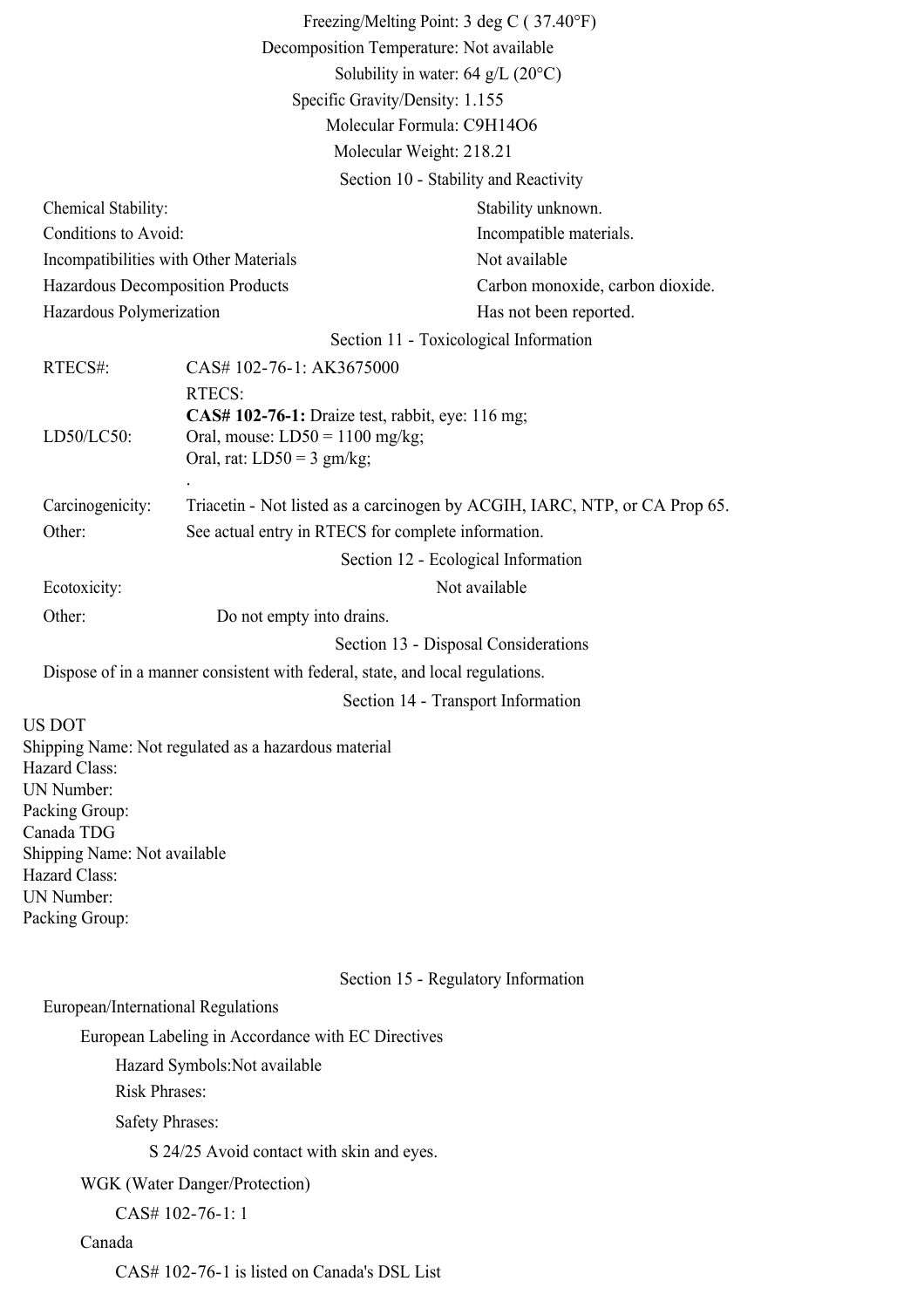|                                                                            |                                                          | Freezing/Melting Point: 3 deg C (37.40°F)                                     |  |
|----------------------------------------------------------------------------|----------------------------------------------------------|-------------------------------------------------------------------------------|--|
| Decomposition Temperature: Not available                                   |                                                          |                                                                               |  |
|                                                                            |                                                          | Solubility in water: 64 g/L $(20^{\circ}C)$                                   |  |
|                                                                            |                                                          | Specific Gravity/Density: 1.155                                               |  |
|                                                                            |                                                          | Molecular Formula: C9H14O6                                                    |  |
|                                                                            |                                                          | Molecular Weight: 218.21                                                      |  |
|                                                                            |                                                          | Section 10 - Stability and Reactivity                                         |  |
|                                                                            |                                                          | Stability unknown.                                                            |  |
| Chemical Stability:                                                        |                                                          |                                                                               |  |
| Conditions to Avoid:                                                       |                                                          | Incompatible materials.<br>Not available                                      |  |
| Incompatibilities with Other Materials<br>Hazardous Decomposition Products |                                                          |                                                                               |  |
|                                                                            |                                                          | Carbon monoxide, carbon dioxide.                                              |  |
| Hazardous Polymerization                                                   |                                                          | Has not been reported.                                                        |  |
|                                                                            |                                                          | Section 11 - Toxicological Information                                        |  |
| RTECS#:                                                                    | CAS# 102-76-1: AK3675000                                 |                                                                               |  |
|                                                                            | RTECS:                                                   |                                                                               |  |
| LD50/LC50:                                                                 | Oral, mouse: $LD50 = 1100$ mg/kg;                        | CAS# 102-76-1: Draize test, rabbit, eye: 116 mg;                              |  |
|                                                                            | Oral, rat: $LD50 = 3$ gm/kg;                             |                                                                               |  |
|                                                                            |                                                          |                                                                               |  |
| Carcinogenicity:                                                           |                                                          | Triacetin - Not listed as a carcinogen by ACGIH, IARC, NTP, or CA Prop 65.    |  |
| Other:                                                                     |                                                          | See actual entry in RTECS for complete information.                           |  |
|                                                                            |                                                          | Section 12 - Ecological Information                                           |  |
| Ecotoxicity:                                                               |                                                          | Not available                                                                 |  |
| Other:                                                                     | Do not empty into drains.                                |                                                                               |  |
|                                                                            |                                                          | Section 13 - Disposal Considerations                                          |  |
|                                                                            |                                                          | Dispose of in a manner consistent with federal, state, and local regulations. |  |
|                                                                            |                                                          |                                                                               |  |
|                                                                            |                                                          | Section 14 - Transport Information                                            |  |
| US DOT                                                                     | Shipping Name: Not regulated as a hazardous material     |                                                                               |  |
| Hazard Class:                                                              |                                                          |                                                                               |  |
| UN Number:                                                                 |                                                          |                                                                               |  |
| Packing Group:                                                             |                                                          |                                                                               |  |
| Canada TDG<br>Shipping Name: Not available                                 |                                                          |                                                                               |  |
| Hazard Class:                                                              |                                                          |                                                                               |  |
| UN Number:                                                                 |                                                          |                                                                               |  |
| Packing Group:                                                             |                                                          |                                                                               |  |
|                                                                            |                                                          |                                                                               |  |
|                                                                            |                                                          | Section 15 - Regulatory Information                                           |  |
| European/International Regulations                                         |                                                          |                                                                               |  |
|                                                                            | European Labeling in Accordance with EC Directives       |                                                                               |  |
|                                                                            |                                                          |                                                                               |  |
|                                                                            | Hazard Symbols: Not available                            |                                                                               |  |
| <b>Risk Phrases:</b>                                                       |                                                          |                                                                               |  |
| <b>Safety Phrases:</b>                                                     |                                                          |                                                                               |  |
|                                                                            | S 24/25 Avoid contact with skin and eyes.                |                                                                               |  |
|                                                                            | WGK (Water Danger/Protection)                            |                                                                               |  |
|                                                                            | CAS# 102-76-1: 1                                         |                                                                               |  |
| Canada                                                                     |                                                          |                                                                               |  |
|                                                                            | $C_A$ CH 100 76 1 is listed on $C_{\text{max}}$ dels DCI |                                                                               |  |

CAS# 102-76-1 is listed on Canada's DSL List